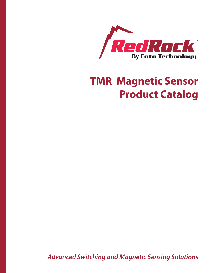

## **TMR Magnetic Sensor Product Catalog**

*Advanced Switching and Magnetic Sensing Solutions*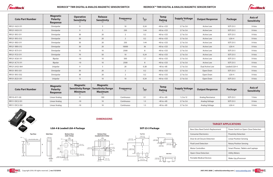**DIMENSIONS**

| <b>TARGET APPLICATIONS</b>         |                                      |  |  |  |  |  |  |
|------------------------------------|--------------------------------------|--|--|--|--|--|--|
| Bare Glass Reed Switch Replacement | Power Switch or Open-Close Detection |  |  |  |  |  |  |
| <b>Consumer Electronics</b>        | <b>Proximity Detection</b>           |  |  |  |  |  |  |
| Door & Lid Closure Detection       | Linear Position Sensing              |  |  |  |  |  |  |
| <b>Fluid Level Detection</b>       | <b>Rotary Position Sensing</b>       |  |  |  |  |  |  |
| Motor Controllers                  | Smart Phones, Tablets and Laptops    |  |  |  |  |  |  |
| Open-Close Detection               | <b>Utility Meters</b>                |  |  |  |  |  |  |
| <b>Portable Medical Devices</b>    | Wake-Up µProcessor                   |  |  |  |  |  |  |



| <b>Coto Part Number</b> | <b>Magnetic</b><br><b>Polarity</b><br><b>Response</b> | <b>Operative</b><br><b>Sensitivity</b> | <b>Release</b><br><b>Sensitivity</b> | <b>Frequency</b> | $\frac{I_{\text{AVG}}}{I_{\text{U}}(A)}$ | <b>Temp</b><br><b>Rating</b> | <b>Supply Voltage</b> | <b>Output Response</b> | <b>Package</b> | <b>Axis of</b><br><b>Sensitivity</b> |
|-------------------------|-------------------------------------------------------|----------------------------------------|--------------------------------------|------------------|------------------------------------------|------------------------------|-----------------------|------------------------|----------------|--------------------------------------|
| RR121-1A23-311          | Omnipolar                                             | $\mathsf{Q}$                           |                                      | 10               | 0.24                                     | $-40$ to $+125$              | 2.7 to 3.6            | Active Low             | SOT-23-3       | X-Axis                               |
| RR121-1A53-311          | Omnipolar                                             | 9                                      | -5                                   | 250              | 1.44                                     | $-40$ to $+125$              | 2.7 to 3.6            | <b>Active Low</b>      | SOT-23-3       | X-Axis                               |
| RR121-1B13-311          | Omnipolar                                             | 30                                     | 20                                   | $\overline{2}$   | 0.2                                      | $-40$ to $+125$              | 2.7 to 3.6            | <b>Active Low</b>      | SOT-23-3       | X-Axis                               |
| RR121-1B13-312          | Omnipolar                                             | 30                                     | 20                                   | $\overline{2}$   | 0.2                                      | $-40$ to $+125$              | 2.7 to 3.6            | <b>Active Low</b>      | $LGA-4$        | X-Axis                               |
| RR121-1B53-311          | Omnipolar                                             | 30                                     | 20                                   | 250              | 1.44                                     | $-40$ to $+125$              | 2.7 to 3.6            | Active Low             | SOT-23-3       | X-Axis                               |
| RR121-1B93-312          | Omnipolar                                             | 30                                     | 20                                   | 10000            | 36                                       | $-40$ to $+125$              | 2.7 to 3.6            | <b>Active Low</b>      | $LGA-4$        | X-Axis                               |
| RR121-1E73-311          | Omnipolar                                             | 15                                     | $10\,$                               | 2500             | 8                                        | $-40$ to $+125$              | 2.7 to 3.6            | Active Low             | SOT-23-3       | X-Axis                               |
| RR121-1F23-311          | Omnipolar                                             | 70                                     | 50                                   | 10               | 0.24                                     | $-40$ to $+125$              | 2.7 to 3.6            | <b>Active Low</b>      | SOT-23-3       | X-Axis                               |
| RR121-3C63-311          | Bipolar                                               | $-10$                                  | 10                                   | 500              | 1.7                                      | $-40$ to $+125$              | 2.7 to 3.6            | <b>Active Low</b>      | SOT-23-3       | X-Axis                               |
| RR121-3C73-311          | Bipolar                                               | $-10$                                  | 10                                   | 2500             | 8                                        | $-40$ to $+125$              | 2.7 to 3.6            | <b>Active Low</b>      | SOT-23-3       | X-Axis                               |
| RR121-2A32-364          | Unipolar                                              | 9                                      |                                      | 20               | 0.28                                     | $-40$ to $+85$               | 2.7 to 3.6            | Dual Active Low        | Leaded LGA-4   | X-Axis                               |
| RR131-1B13-351          | Omnipolar                                             | 30                                     | 20                                   | $\overline{2}$   | 0.2                                      | $-40$ to $+125$              | 2.7 to 3.6            | Open Drain             | SOT-23-3       | X-Axis                               |
| RR131-1B13-352          | Omnipolar                                             | 30                                     | 20                                   | $\overline{2}$   | 0.2                                      | $-40$ to $+125$              | 2.7 to 3.6            | Open Drain             | LGA-4          | X-Axis                               |
| RR131-2E23-351          | Unipolar                                              | 15                                     | 10                                   | 10 <sup>°</sup>  | 0.24                                     | $-40$ to $+125$              | 2.7 to 3.6            | Open Drain             | SOT-23-3       | X-Axis                               |

| <b>Coto Part Number</b> | <b>Magnetic</b><br><b>Polarity</b><br><b>Response</b> | <b>Magnetic</b><br><b>Sensitivity Range</b><br><b>Minimum</b> | <b>Magnetic</b><br><b>Sensitivity Range</b><br><b>Maximum</b> | <b>Frequency</b> | $AMG$ <sub>(mA)</sub> | <b>Temp</b><br><b>Rating</b> | <b>Supply Voltage</b> | <b>Output Response</b> | <b>Package</b> | <b>Axis of</b><br><b>Sensitivity</b> |
|-------------------------|-------------------------------------------------------|---------------------------------------------------------------|---------------------------------------------------------------|------------------|-----------------------|------------------------------|-----------------------|------------------------|----------------|--------------------------------------|
| RR110-A111-00           | Linear Analog                                         |                                                               | 100                                                           | Continuous       | 0.1                   | $-40$ to $+85$               | 1.2 to 12             | Analog Resistance      | SOT-23-3       | Y-Axis                               |
| RR111-1DC2-331          | Linear Analog                                         |                                                               |                                                               | Continuous       |                       | $-40$ to $+85$               | 2.7 to 3.6            | Analog Voltage         | SOT-23-3       | X-Axis                               |
| RR111-1DC2-332          | Linear Analog                                         |                                                               |                                                               | Continuous       |                       | $-40$ to $+85$               | 2.7 to 3.6            | Analog Voltage         | $LGA-4$        | X-Axis                               |

**SOT-23-3 Package**



1.90 (0.075)



 $1.10 \pm 0.1$ <br> $(.043 \pm .00$ 



**LGA-4 & Leaded LGA-4 Package**



0.14 (0.005)





0.1 (0.004)

 $0.35 \pm .05$ <br>(0.014 ± .002)



 $|-+|-$ 

 $|2|$